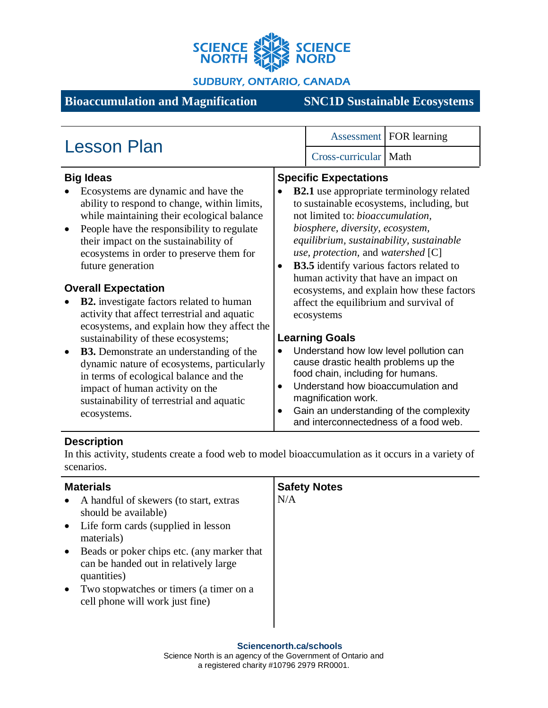

**SUDBURY, ONTARIO, CANADA** 

# **Bioaccumulation and Magnification SNC1D Sustainable Ecosystems**

| <b>Lesson Plan</b>                                                                                                                                                                                                                                                                                                                                                                                                                                                                                                                                                                                                                                                                                                                                                            |           |                                                                                                                                                                                                                                                                                                                                                                                                                                                                                                                                                                  | Assessment   FOR learning                                                                                                                                                                                                      |
|-------------------------------------------------------------------------------------------------------------------------------------------------------------------------------------------------------------------------------------------------------------------------------------------------------------------------------------------------------------------------------------------------------------------------------------------------------------------------------------------------------------------------------------------------------------------------------------------------------------------------------------------------------------------------------------------------------------------------------------------------------------------------------|-----------|------------------------------------------------------------------------------------------------------------------------------------------------------------------------------------------------------------------------------------------------------------------------------------------------------------------------------------------------------------------------------------------------------------------------------------------------------------------------------------------------------------------------------------------------------------------|--------------------------------------------------------------------------------------------------------------------------------------------------------------------------------------------------------------------------------|
|                                                                                                                                                                                                                                                                                                                                                                                                                                                                                                                                                                                                                                                                                                                                                                               |           | Cross-curricular   Math                                                                                                                                                                                                                                                                                                                                                                                                                                                                                                                                          |                                                                                                                                                                                                                                |
| <b>Big Ideas</b><br>Ecosystems are dynamic and have the<br>ability to respond to change, within limits,<br>while maintaining their ecological balance<br>People have the responsibility to regulate<br>their impact on the sustainability of<br>ecosystems in order to preserve them for<br>future generation<br><b>Overall Expectation</b><br><b>B2.</b> investigate factors related to human<br>activity that affect terrestrial and aquatic<br>ecosystems, and explain how they affect the<br>sustainability of these ecosystems;<br><b>B3.</b> Demonstrate an understanding of the<br>dynamic nature of ecosystems, particularly<br>in terms of ecological balance and the<br>impact of human activity on the<br>sustainability of terrestrial and aquatic<br>ecosystems. | $\bullet$ | <b>Specific Expectations</b><br>not limited to: <i>bioaccumulation</i> ,<br>biosphere, diversity, ecosystem,<br>equilibrium, sustainability, sustainable<br>use, protection, and watershed $[C]$<br><b>B3.5</b> identify various factors related to<br>human activity that have an impact on<br>affect the equilibrium and survival of<br>ecosystems<br><b>Learning Goals</b><br>cause drastic health problems up the<br>food chain, including for humans.<br>Understand how bioaccumulation and<br>magnification work.<br>and interconnectedness of a food web. | <b>B2.1</b> use appropriate terminology related<br>to sustainable ecosystems, including, but<br>ecosystems, and explain how these factors<br>Understand how low level pollution can<br>Gain an understanding of the complexity |

## **Description**

In this activity, students create a food web to model bioaccumulation as it occurs in a variety of scenarios.

| <b>Materials</b><br>A handful of skewers (to start, extras<br>$\bullet$<br>should be available)<br>Life form cards (supplied in lesson<br>$\bullet$<br>materials)<br>Beads or poker chips etc. (any marker that<br>$\bullet$<br>can be handed out in relatively large<br>quantities)<br>Two stopwatches or timers (a timer on a<br>$\bullet$<br>cell phone will work just fine) | <b>Safety Notes</b><br>N/A |
|---------------------------------------------------------------------------------------------------------------------------------------------------------------------------------------------------------------------------------------------------------------------------------------------------------------------------------------------------------------------------------|----------------------------|
|                                                                                                                                                                                                                                                                                                                                                                                 |                            |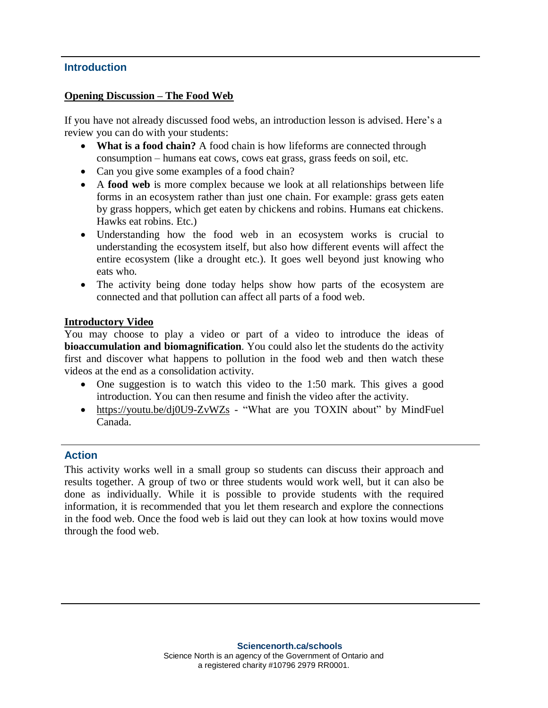#### **Introduction**

#### **Opening Discussion – The Food Web**

If you have not already discussed food webs, an introduction lesson is advised. Here's a review you can do with your students:

- **What is a food chain?** A food chain is how lifeforms are connected through consumption – humans eat cows, cows eat grass, grass feeds on soil, etc.
- Can you give some examples of a food chain?
- A **food web** is more complex because we look at all relationships between life forms in an ecosystem rather than just one chain. For example: grass gets eaten by grass hoppers, which get eaten by chickens and robins. Humans eat chickens. Hawks eat robins. Etc.)
- Understanding how the food web in an ecosystem works is crucial to understanding the ecosystem itself, but also how different events will affect the entire ecosystem (like a drought etc.). It goes well beyond just knowing who eats who.
- The activity being done today helps show how parts of the ecosystem are connected and that pollution can affect all parts of a food web.

#### **Introductory Video**

You may choose to play a video or part of a video to introduce the ideas of **bioaccumulation and biomagnification**. You could also let the students do the activity first and discover what happens to pollution in the food web and then watch these videos at the end as a consolidation activity.

- One suggestion is to watch this video to the 1:50 mark. This gives a good introduction. You can then resume and finish the video after the activity.
- <https://youtu.be/dj0U9-ZvWZs> "What are you TOXIN about" by MindFuel Canada.

#### **Action**

This activity works well in a small group so students can discuss their approach and results together. A group of two or three students would work well, but it can also be done as individually. While it is possible to provide students with the required information, it is recommended that you let them research and explore the connections in the food web. Once the food web is laid out they can look at how toxins would move through the food web.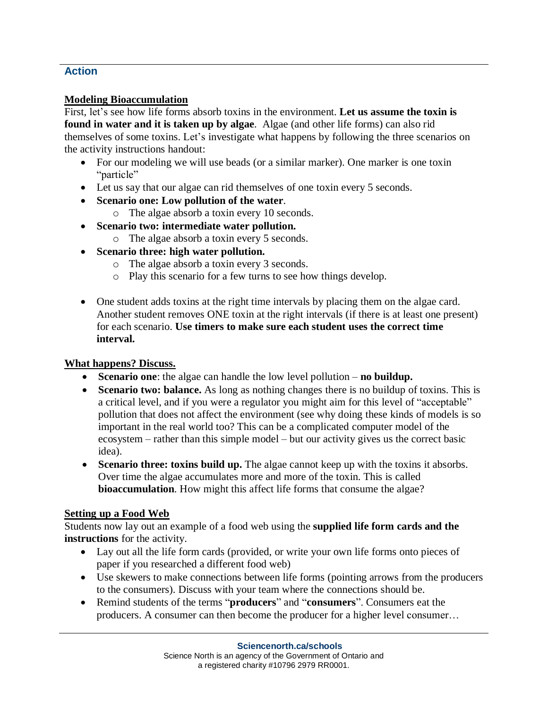# **Action**

#### **Modeling Bioaccumulation**

First, let's see how life forms absorb toxins in the environment. **Let us assume the toxin is found in water and it is taken up by algae**. Algae (and other life forms) can also rid themselves of some toxins. Let's investigate what happens by following the three scenarios on the activity instructions handout:

- For our modeling we will use beads (or a similar marker). One marker is one toxin "particle"
- Let us say that our algae can rid themselves of one toxin every 5 seconds.
- **Scenario one: Low pollution of the water**.
	- o The algae absorb a toxin every 10 seconds.
- **Scenario two: intermediate water pollution.**
	- o The algae absorb a toxin every 5 seconds.
- **Scenario three: high water pollution.**
	- o The algae absorb a toxin every 3 seconds.
	- o Play this scenario for a few turns to see how things develop.
- One student adds toxins at the right time intervals by placing them on the algae card. Another student removes ONE toxin at the right intervals (if there is at least one present) for each scenario. **Use timers to make sure each student uses the correct time interval.**

## **What happens? Discuss.**

- **Scenario one**: the algae can handle the low level pollution **no buildup.**
- **Scenario two: balance.** As long as nothing changes there is no buildup of toxins. This is a critical level, and if you were a regulator you might aim for this level of "acceptable" pollution that does not affect the environment (see why doing these kinds of models is so important in the real world too? This can be a complicated computer model of the ecosystem – rather than this simple model – but our activity gives us the correct basic idea).
- **Scenario three: toxins build up.** The algae cannot keep up with the toxins it absorbs. Over time the algae accumulates more and more of the toxin. This is called **bioaccumulation**. How might this affect life forms that consume the algae?

## **Setting up a Food Web**

Students now lay out an example of a food web using the **supplied life form cards and the instructions** for the activity.

- Lay out all the life form cards (provided, or write your own life forms onto pieces of paper if you researched a different food web)
- Use skewers to make connections between life forms (pointing arrows from the producers to the consumers). Discuss with your team where the connections should be.
- Remind students of the terms "**producers**" and "**consumers**". Consumers eat the producers. A consumer can then become the producer for a higher level consumer…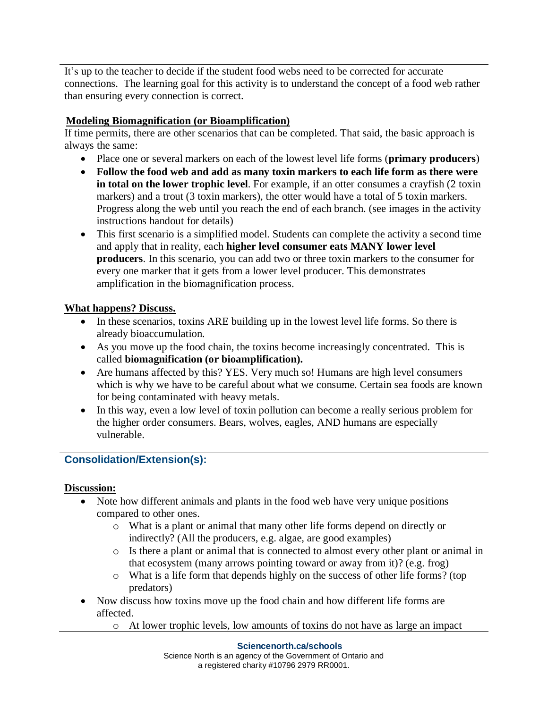It's up to the teacher to decide if the student food webs need to be corrected for accurate connections. The learning goal for this activity is to understand the concept of a food web rather than ensuring every connection is correct.

# **Modeling Biomagnification (or Bioamplification)**

If time permits, there are other scenarios that can be completed. That said, the basic approach is always the same:

- Place one or several markers on each of the lowest level life forms (**primary producers**)
- **Follow the food web and add as many toxin markers to each life form as there were in total on the lower trophic level**. For example, if an otter consumes a crayfish (2 toxin markers) and a trout (3 toxin markers), the otter would have a total of 5 toxin markers. Progress along the web until you reach the end of each branch. (see images in the activity instructions handout for details)
- This first scenario is a simplified model. Students can complete the activity a second time and apply that in reality, each **higher level consumer eats MANY lower level producers**. In this scenario, you can add two or three toxin markers to the consumer for every one marker that it gets from a lower level producer. This demonstrates amplification in the biomagnification process.

## **What happens? Discuss.**

- In these scenarios, toxins ARE building up in the lowest level life forms. So there is already bioaccumulation.
- As you move up the food chain, the toxins become increasingly concentrated. This is called **biomagnification (or bioamplification).**
- Are humans affected by this? YES. Very much so! Humans are high level consumers which is why we have to be careful about what we consume. Certain sea foods are known for being contaminated with heavy metals.
- In this way, even a low level of toxin pollution can become a really serious problem for the higher order consumers. Bears, wolves, eagles, AND humans are especially vulnerable.

# **Consolidation/Extension(s):**

## **Discussion:**

- Note how different animals and plants in the food web have very unique positions compared to other ones.
	- o What is a plant or animal that many other life forms depend on directly or indirectly? (All the producers, e.g. algae, are good examples)
	- o Is there a plant or animal that is connected to almost every other plant or animal in that ecosystem (many arrows pointing toward or away from it)? (e.g. frog)
	- o What is a life form that depends highly on the success of other life forms? (top predators)
- Now discuss how toxins move up the food chain and how different life forms are affected.
	- o At lower trophic levels, low amounts of toxins do not have as large an impact